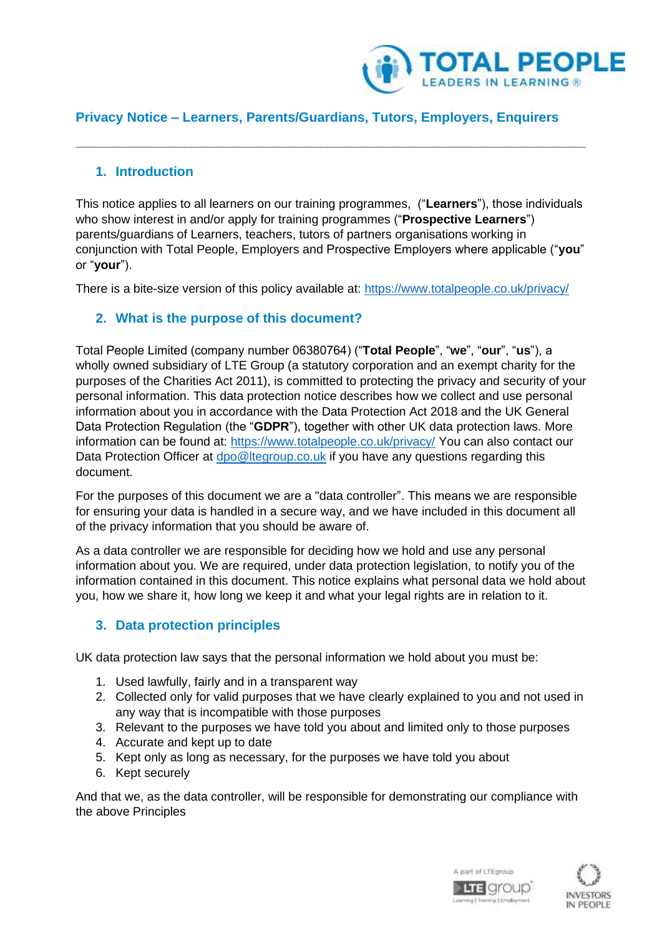

# **Privacy Notice – Learners, Parents/Guardians, Tutors, Employers, Enquirers**

**\_\_\_\_\_\_\_\_\_\_\_\_\_\_\_\_\_\_\_\_\_\_\_\_\_\_\_\_\_\_\_\_\_\_\_\_\_\_\_\_\_\_\_\_\_\_\_\_\_\_\_\_\_\_\_\_\_\_\_\_\_\_\_\_\_\_\_\_\_\_\_\_\_\_\_**

### **1. Introduction**

This notice applies to all learners on our training programmes, ("**Learners**"), those individuals who show interest in and/or apply for training programmes ("**Prospective Learners**") parents/guardians of Learners, teachers, tutors of partners organisations working in conjunction with Total People, Employers and Prospective Employers where applicable ("**you**" or "**your**").

There is a bite-size version of this policy available at:<https://www.totalpeople.co.uk/privacy/>

# **2. What is the purpose of this document?**

Total People Limited (company number 06380764) ("**Total People**", "**we**", "**our**", "**us**"), a wholly owned subsidiary of LTE Group (a statutory corporation and an exempt charity for the purposes of the Charities Act 2011), is committed to protecting the privacy and security of your personal information. This data protection notice describes how we collect and use personal information about you in accordance with the Data Protection Act 2018 and the UK General Data Protection Regulation (the "**GDPR**"), together with other UK data protection laws. More information can be found at:<https://www.totalpeople.co.uk/privacy/> You can also contact our Data Protection Officer at [dpo@ltegroup.co.uk](mailto:dpo@ltegroup.co.uk) if you have any questions regarding this document.

For the purposes of this document we are a "data controller". This means we are responsible for ensuring your data is handled in a secure way, and we have included in this document all of the privacy information that you should be aware of.

As a data controller we are responsible for deciding how we hold and use any personal information about you. We are required, under data protection legislation, to notify you of the information contained in this document. This notice explains what personal data we hold about you, how we share it, how long we keep it and what your legal rights are in relation to it.

### **3. Data protection principles**

UK data protection law says that the personal information we hold about you must be:

- 1. Used lawfully, fairly and in a transparent way
- 2. Collected only for valid purposes that we have clearly explained to you and not used in any way that is incompatible with those purposes
- 3. Relevant to the purposes we have told you about and limited only to those purposes
- 4. Accurate and kept up to date
- 5. Kept only as long as necessary, for the purposes we have told you about
- 6. Kept securely

And that we, as the data controller, will be responsible for demonstrating our compliance with the above Principles



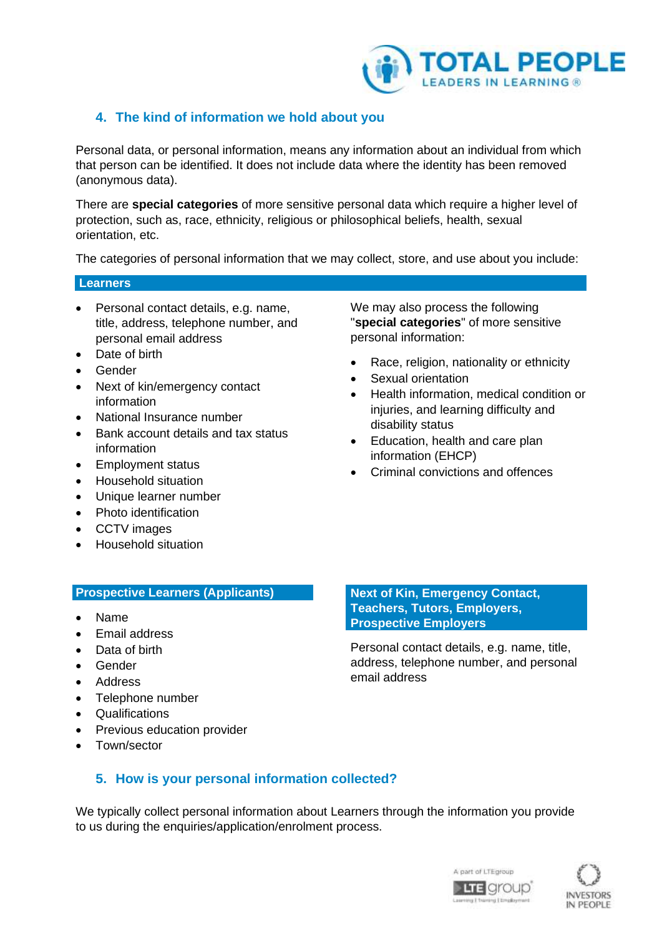

# <span id="page-1-0"></span>**4. The kind of information we hold about you**

Personal data, or personal information, means any information about an individual from which that person can be identified. It does not include data where the identity has been removed (anonymous data).

There are **special categories** of more sensitive personal data which require a higher level of protection, such as, race, ethnicity, religious or philosophical beliefs, health, sexual orientation, etc.

The categories of personal information that we may collect, store, and use about you include:

### **Learners**

- Personal contact details, e.g. name, title, address, telephone number, and personal email address
- Date of birth
- **Gender**
- Next of kin/emergency contact information
- National Insurance number
- Bank account details and tax status information
- Employment status
- Household situation
- Unique learner number
- Photo identification
- CCTV images
- Household situation

### **Prospective Learners (Applicants)**

- Name
- Email address
- Data of birth
- Gender
- Address
- Telephone number
- Qualifications
- Previous education provider
- Town/sector

We may also process the following "**special categories**" of more sensitive personal information:

- Race, religion, nationality or ethnicity
- Sexual orientation
- Health information, medical condition or injuries, and learning difficulty and disability status
- Education, health and care plan information (EHCP)
- Criminal convictions and offences

**Next of Kin, Emergency Contact, Teachers, Tutors, Employers, Prospective Employers**

Personal contact details, e.g. name, title, address, telephone number, and personal email address

# **5. How is your personal information collected?**

We typically collect personal information about Learners through the information you provide to us during the enquiries/application/enrolment process.



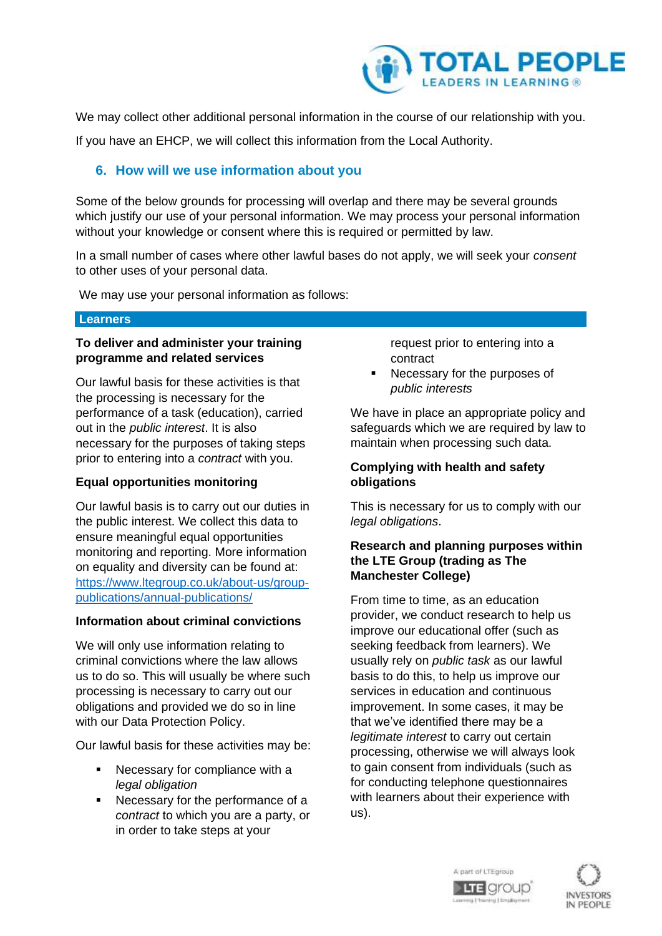

We may collect other additional personal information in the course of our relationship with you.

If you have an EHCP, we will collect this information from the Local Authority.

# **6. How will we use information about you**

Some of the below grounds for processing will overlap and there may be several grounds which justify our use of your personal information. We may process your personal information without your knowledge or consent where this is required or permitted by law.

In a small number of cases where other lawful bases do not apply, we will seek your *consent* to other uses of your personal data.

We may use your personal information as follows:

#### **Learners**

### **To deliver and administer your training programme and related services**

Our lawful basis for these activities is that the processing is necessary for the performance of a task (education), carried out in the *public interest*. It is also necessary for the purposes of taking steps prior to entering into a *contract* with you.

### **Equal opportunities monitoring**

Our lawful basis is to carry out our duties in the public interest. We collect this data to ensure meaningful equal opportunities monitoring and reporting. More information on equality and diversity can be found at: [https://www.ltegroup.co.uk/about-us/group](https://www.ltegroup.co.uk/about-us/group-publications/annual-publications/)[publications/annual-publications/](https://www.ltegroup.co.uk/about-us/group-publications/annual-publications/)

### **Information about criminal convictions**

We will only use information relating to criminal convictions where the law allows us to do so. This will usually be where such processing is necessary to carry out our obligations and provided we do so in line with our Data Protection Policy.

Our lawful basis for these activities may be:

- Necessary for compliance with a *legal obligation*
- Necessary for the performance of a *contract* to which you are a party, or in order to take steps at your

request prior to entering into a contract

Necessary for the purposes of *public interests*

We have in place an appropriate policy and safeguards which we are required by law to maintain when processing such data.

### **Complying with health and safety obligations**

This is necessary for us to comply with our *legal obligations*.

### **Research and planning purposes within the LTE Group (trading as The Manchester College)**

From time to time, as an education provider, we conduct research to help us improve our educational offer (such as seeking feedback from learners). We usually rely on *public task* as our lawful basis to do this, to help us improve our services in education and continuous improvement. In some cases, it may be that we've identified there may be a *legitimate interest* to carry out certain processing, otherwise we will always look to gain consent from individuals (such as for conducting telephone questionnaires with learners about their experience with us).



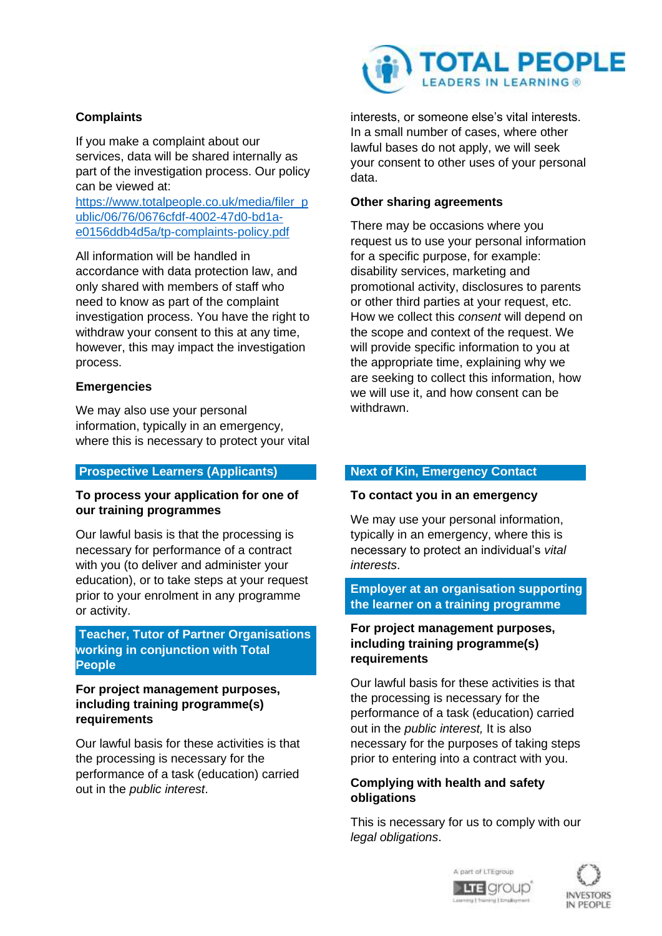### **Complaints**

If you make a complaint about our services, data will be shared internally as part of the investigation process. Our policy can be viewed at:

[https://www.totalpeople.co.uk/media/filer\\_p](https://www.totalpeople.co.uk/media/filer_public/06/76/0676cfdf-4002-47d0-bd1a-e0156ddb4d5a/tp-complaints-policy.pdf) [ublic/06/76/0676cfdf-4002-47d0-bd1a](https://www.totalpeople.co.uk/media/filer_public/06/76/0676cfdf-4002-47d0-bd1a-e0156ddb4d5a/tp-complaints-policy.pdf)[e0156ddb4d5a/tp-complaints-policy.pdf](https://www.totalpeople.co.uk/media/filer_public/06/76/0676cfdf-4002-47d0-bd1a-e0156ddb4d5a/tp-complaints-policy.pdf)

All information will be handled in accordance with data protection law, and only shared with members of staff who need to know as part of the complaint investigation process. You have the right to withdraw your consent to this at any time, however, this may impact the investigation process.

### **Emergencies**

We may also use your personal information, typically in an emergency, where this is necessary to protect your vital

#### **Prospective Learners (Applicants)**

### **To process your application for one of our training programmes**

Our lawful basis is that the processing is necessary for performance of a contract with you (to deliver and administer your education), or to take steps at your request prior to your enrolment in any programme or activity.

**Teacher, Tutor of Partner Organisations working in conjunction with Total People**

### **For project management purposes, including training programme(s) requirements**

Our lawful basis for these activities is that the processing is necessary for the performance of a task (education) carried out in the *public interest*.



interests, or someone else's vital interests. In a small number of cases, where other lawful bases do not apply, we will seek your consent to other uses of your personal data.

### **Other sharing agreements**

There may be occasions where you request us to use your personal information for a specific purpose, for example: disability services, marketing and promotional activity, disclosures to parents or other third parties at your request, etc. How we collect this *consent* will depend on the scope and context of the request. We will provide specific information to you at the appropriate time, explaining why we are seeking to collect this information, how we will use it, and how consent can be withdrawn.

### **Next of Kin, Emergency Contact**

#### **To contact you in an emergency**

We may use your personal information, typically in an emergency, where this is necessary to protect an individual's *vital interests*.

### **Employer at an organisation supporting the learner on a training programme**

### **For project management purposes, including training programme(s) requirements**

Our lawful basis for these activities is that the processing is necessary for the performance of a task (education) carried out in the *public interest,* It is also necessary for the purposes of taking steps prior to entering into a contract with you.

### **Complying with health and safety obligations**

This is necessary for us to comply with our *legal obligations*.



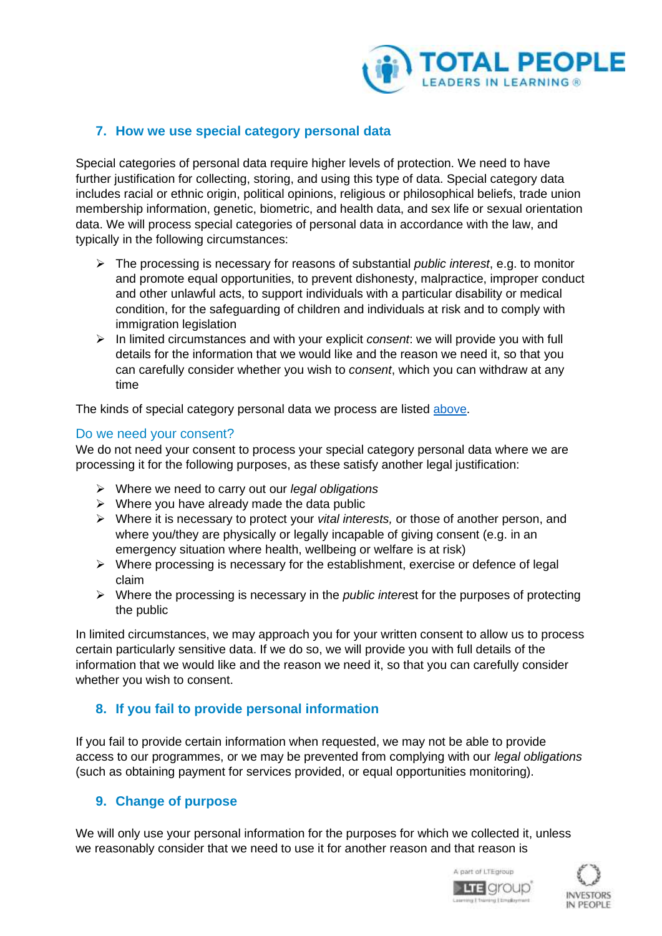

# **7. How we use special category personal data**

Special categories of personal data require higher levels of protection. We need to have further justification for collecting, storing, and using this type of data. Special category data includes racial or ethnic origin, political opinions, religious or philosophical beliefs, trade union membership information, genetic, biometric, and health data, and sex life or sexual orientation data. We will process special categories of personal data in accordance with the law, and typically in the following circumstances:

- ➢ The processing is necessary for reasons of substantial *public interest*, e.g. to monitor and promote equal opportunities, to prevent dishonesty, malpractice, improper conduct and other unlawful acts, to support individuals with a particular disability or medical condition, for the safeguarding of children and individuals at risk and to comply with immigration legislation
- ➢ In limited circumstances and with your explicit *consent*: we will provide you with full details for the information that we would like and the reason we need it, so that you can carefully consider whether you wish to *consent*, which you can withdraw at any time

The kinds of special category personal data we process are listed [above.](#page-1-0)

### Do we need your consent?

We do not need your consent to process your special category personal data where we are processing it for the following purposes, as these satisfy another legal justification:

- ➢ Where we need to carry out our *legal obligations*
- $\triangleright$  Where you have already made the data public
- ➢ Where it is necessary to protect your *vital interests,* or those of another person, and where you/they are physically or legally incapable of giving consent (e.g. in an emergency situation where health, wellbeing or welfare is at risk)
- ➢ Where processing is necessary for the establishment, exercise or defence of legal claim
- ➢ Where the processing is necessary in the *public inter*est for the purposes of protecting the public

In limited circumstances, we may approach you for your written consent to allow us to process certain particularly sensitive data. If we do so, we will provide you with full details of the information that we would like and the reason we need it, so that you can carefully consider whether you wish to consent.

# **8. If you fail to provide personal information**

If you fail to provide certain information when requested, we may not be able to provide access to our programmes, or we may be prevented from complying with our *legal obligations* (such as obtaining payment for services provided, or equal opportunities monitoring).

# **9. Change of purpose**

We will only use your personal information for the purposes for which we collected it, unless we reasonably consider that we need to use it for another reason and that reason is



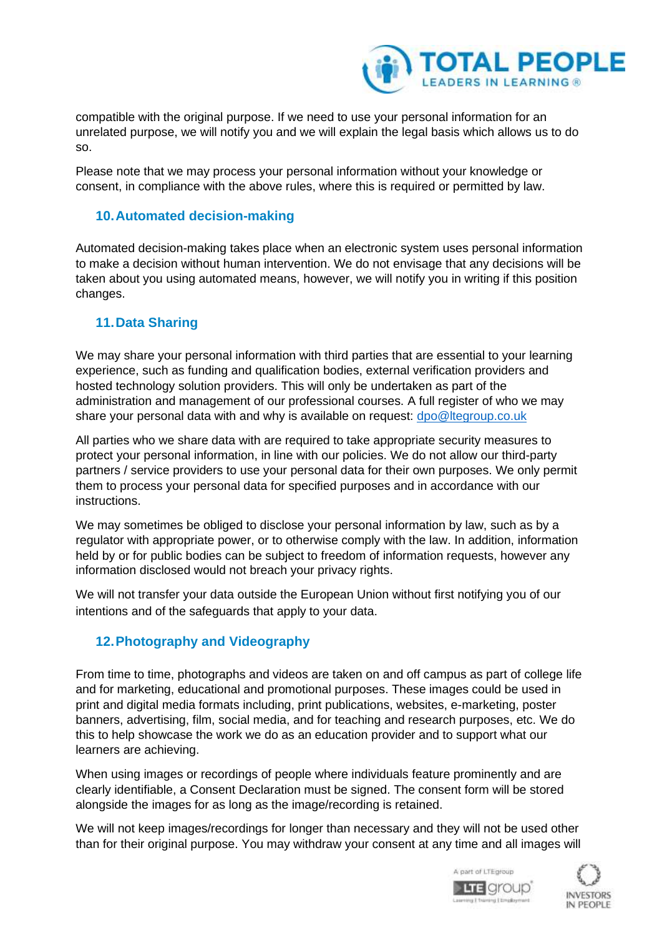

compatible with the original purpose. If we need to use your personal information for an unrelated purpose, we will notify you and we will explain the legal basis which allows us to do so.

Please note that we may process your personal information without your knowledge or consent, in compliance with the above rules, where this is required or permitted by law.

### **10.Automated decision-making**

Automated decision-making takes place when an electronic system uses personal information to make a decision without human intervention. We do not envisage that any decisions will be taken about you using automated means, however, we will notify you in writing if this position changes.

# **11.Data Sharing**

We may share your personal information with third parties that are essential to your learning experience, such as funding and qualification bodies, external verification providers and hosted technology solution providers. This will only be undertaken as part of the administration and management of our professional courses. A full register of who we may share your personal data with and why is available on request: [dpo@ltegroup.co.uk](mailto:dpo@ltegroup.co.uk)

All parties who we share data with are required to take appropriate security measures to protect your personal information, in line with our policies. We do not allow our third-party partners / service providers to use your personal data for their own purposes. We only permit them to process your personal data for specified purposes and in accordance with our instructions.

We may sometimes be obliged to disclose your personal information by law, such as by a regulator with appropriate power, or to otherwise comply with the law. In addition, information held by or for public bodies can be subject to freedom of information requests, however any information disclosed would not breach your privacy rights.

We will not transfer your data outside the European Union without first notifying you of our intentions and of the safeguards that apply to your data.

# **12.Photography and Videography**

From time to time, photographs and videos are taken on and off campus as part of college life and for marketing, educational and promotional purposes. These images could be used in print and digital media formats including, print publications, websites, e-marketing, poster banners, advertising, film, social media, and for teaching and research purposes, etc. We do this to help showcase the work we do as an education provider and to support what our learners are achieving.

When using images or recordings of people where individuals feature prominently and are clearly identifiable, a Consent Declaration must be signed. The consent form will be stored alongside the images for as long as the image/recording is retained.

We will not keep images/recordings for longer than necessary and they will not be used other than for their original purpose. You may withdraw your consent at any time and all images will



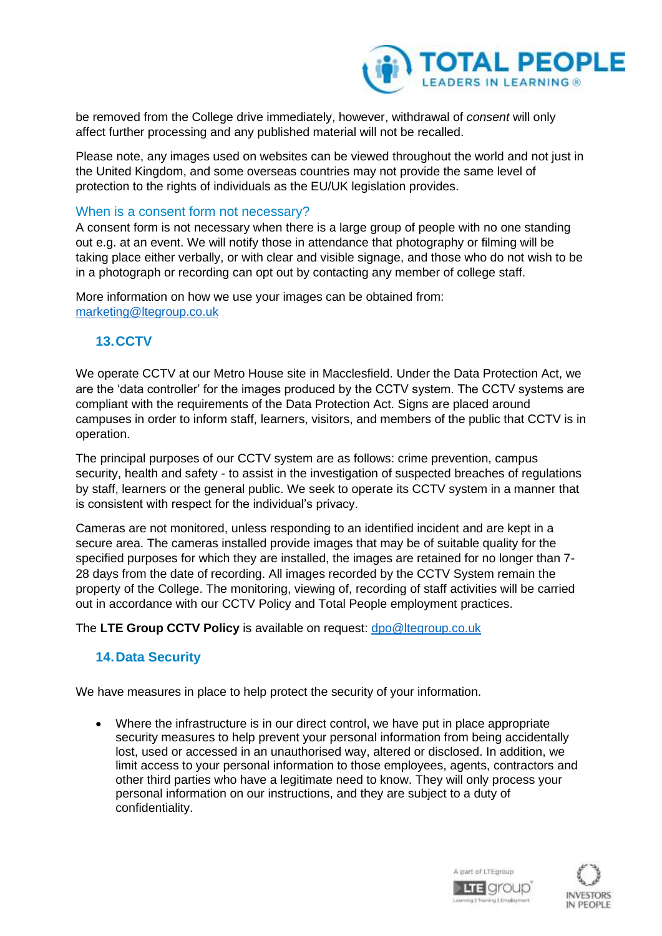

be removed from the College drive immediately, however, withdrawal of *consent* will only affect further processing and any published material will not be recalled.

Please note, any images used on websites can be viewed throughout the world and not just in the United Kingdom, and some overseas countries may not provide the same level of protection to the rights of individuals as the EU/UK legislation provides.

### When is a consent form not necessary?

A consent form is not necessary when there is a large group of people with no one standing out e.g. at an event. We will notify those in attendance that photography or filming will be taking place either verbally, or with clear and visible signage, and those who do not wish to be in a photograph or recording can opt out by contacting any member of college staff.

More information on how we use your images can be obtained from: [marketing@ltegroup.co.uk](mailto:marketing@ltegroup.co.uk)

# **13.CCTV**

We operate CCTV at our Metro House site in Macclesfield. Under the Data Protection Act, we are the 'data controller' for the images produced by the CCTV system. The CCTV systems are compliant with the requirements of the Data Protection Act. Signs are placed around campuses in order to inform staff, learners, visitors, and members of the public that CCTV is in operation.

The principal purposes of our CCTV system are as follows: crime prevention, campus security, health and safety - to assist in the investigation of suspected breaches of regulations by staff, learners or the general public. We seek to operate its CCTV system in a manner that is consistent with respect for the individual's privacy.

Cameras are not monitored, unless responding to an identified incident and are kept in a secure area. The cameras installed provide images that may be of suitable quality for the specified purposes for which they are installed, the images are retained for no longer than 7- 28 days from the date of recording. All images recorded by the CCTV System remain the property of the College. The monitoring, viewing of, recording of staff activities will be carried out in accordance with our CCTV Policy and Total People employment practices.

The **LTE Group CCTV Policy** is available on request: [dpo@ltegroup.co.uk](mailto:dpo@ltegroup.co.uk)

### **14.Data Security**

We have measures in place to help protect the security of your information.

• Where the infrastructure is in our direct control, we have put in place appropriate security measures to help prevent your personal information from being accidentally lost, used or accessed in an unauthorised way, altered or disclosed. In addition, we limit access to your personal information to those employees, agents, contractors and other third parties who have a legitimate need to know. They will only process your personal information on our instructions, and they are subject to a duty of confidentiality.



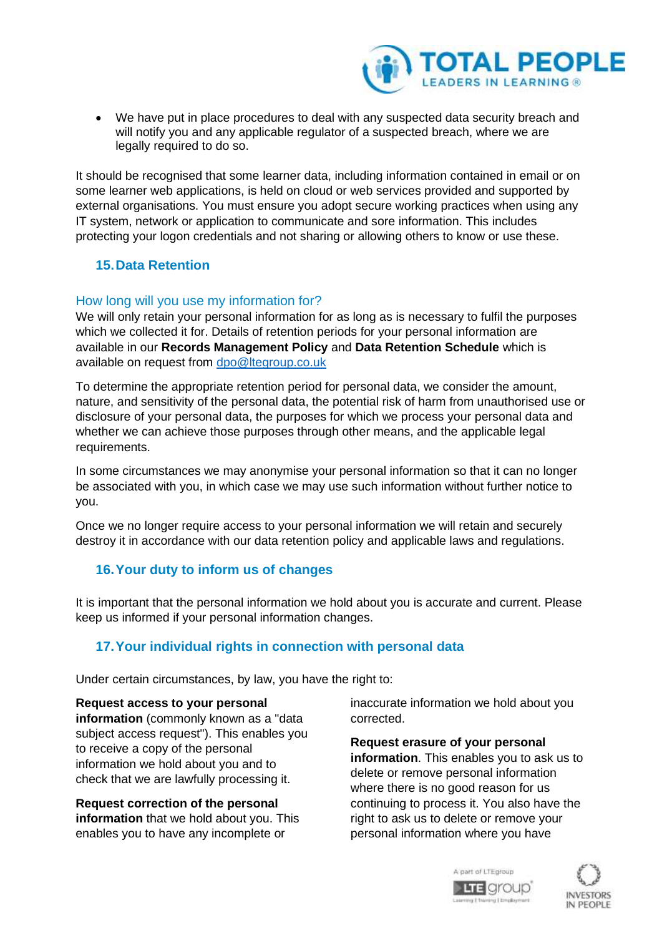

• We have put in place procedures to deal with any suspected data security breach and will notify you and any applicable regulator of a suspected breach, where we are legally required to do so.

It should be recognised that some learner data, including information contained in email or on some learner web applications, is held on cloud or web services provided and supported by external organisations. You must ensure you adopt secure working practices when using any IT system, network or application to communicate and sore information. This includes protecting your logon credentials and not sharing or allowing others to know or use these.

# **15.Data Retention**

# How long will you use my information for?

We will only retain your personal information for as long as is necessary to fulfil the purposes which we collected it for. Details of retention periods for your personal information are available in our **Records Management Policy** and **Data Retention Schedule** which is available on request from [dpo@ltegroup.co.uk](mailto:dpo@ltegroup.co.uk)

To determine the appropriate retention period for personal data, we consider the amount, nature, and sensitivity of the personal data, the potential risk of harm from unauthorised use or disclosure of your personal data, the purposes for which we process your personal data and whether we can achieve those purposes through other means, and the applicable legal requirements.

In some circumstances we may anonymise your personal information so that it can no longer be associated with you, in which case we may use such information without further notice to you.

Once we no longer require access to your personal information we will retain and securely destroy it in accordance with our data retention policy and applicable laws and regulations.

# **16.Your duty to inform us of changes**

It is important that the personal information we hold about you is accurate and current. Please keep us informed if your personal information changes.

# **17.Your individual rights in connection with personal data**

Under certain circumstances, by law, you have the right to:

### **Request access to your personal**

**information** (commonly known as a "data subject access request"). This enables you to receive a copy of the personal information we hold about you and to check that we are lawfully processing it.

**Request correction of the personal information** that we hold about you. This enables you to have any incomplete or

inaccurate information we hold about you corrected.

**Request erasure of your personal information**. This enables you to ask us to delete or remove personal information where there is no good reason for us continuing to process it. You also have the right to ask us to delete or remove your personal information where you have



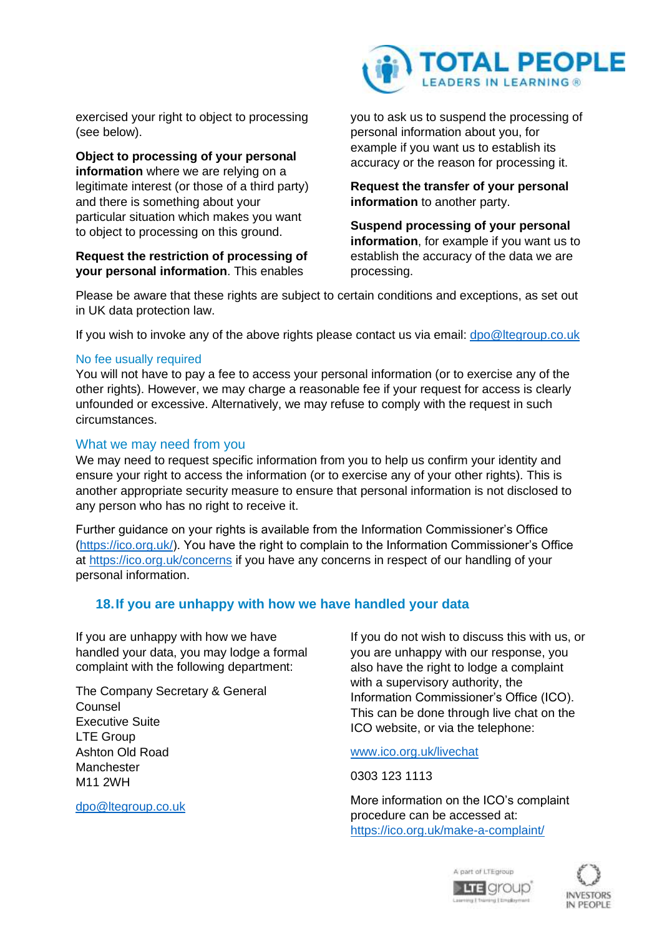exercised your right to object to processing (see below).

**Object to processing of your personal information** where we are relying on a legitimate interest (or those of a third party) and there is something about your particular situation which makes you want to object to processing on this ground.

### **Request the restriction of processing of your personal information**. This enables



you to ask us to suspend the processing of personal information about you, for example if you want us to establish its accuracy or the reason for processing it.

**Request the transfer of your personal information** to another party.

**Suspend processing of your personal information**, for example if you want us to establish the accuracy of the data we are processing.

Please be aware that these rights are subject to certain conditions and exceptions, as set out in UK data protection law.

If you wish to invoke any of the above rights please contact us via email: [dpo@ltegroup.co.uk](mailto:dpo@ltegroup.co.uk)

### No fee usually required

You will not have to pay a fee to access your personal information (or to exercise any of the other rights). However, we may charge a reasonable fee if your request for access is clearly unfounded or excessive. Alternatively, we may refuse to comply with the request in such circumstances.

### What we may need from you

We may need to request specific information from you to help us confirm your identity and ensure your right to access the information (or to exercise any of your other rights). This is another appropriate security measure to ensure that personal information is not disclosed to any person who has no right to receive it.

Further guidance on your rights is available from the Information Commissioner's Office [\(https://ico.org.uk/\)](https://ico.org.uk/). You have the right to complain to the Information Commissioner's Office at<https://ico.org.uk/concerns> if you have any concerns in respect of our handling of your personal information.

### **18.If you are unhappy with how we have handled your data**

If you are unhappy with how we have handled your data, you may lodge a formal complaint with the following department:

The Company Secretary & General Counsel Executive Suite LTE Group Ashton Old Road **Manchester** M11 2WH

[dpo@ltegroup.co.uk](mailto:dpo@ltegroup.co.uk)

If you do not wish to discuss this with us, or you are unhappy with our response, you also have the right to lodge a complaint with a supervisory authority, the Information Commissioner's Office (ICO). This can be done through live chat on the ICO website, or via the telephone:

[www.ico.org.uk/livechat](http://www.ico.org.uk/livechat) 

0303 123 1113

More information on the ICO's complaint procedure can be accessed at: <https://ico.org.uk/make-a-complaint/>